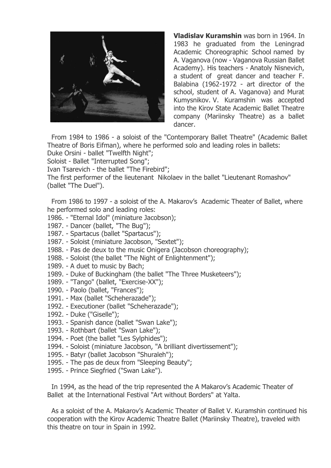

**Vladislav Kuramshin** was born in 1964. In 1983 he graduated from the Leningrad Academic Choreographic School named by A. Vaganova (now - Vaganova Russian Ballet Academy). His teachers - Anatoly Nisnevich, a student of great dancer and teacher F. Balabina (1962-1972 - art director of the school, student of A. Vaganova) and Murat Kumysnikov. V. Kuramshin was accepted into the Kirov State Academic Ballet Theatre company (Mariinsky Theatre) as a ballet dancer.

From 1984 to 1986 - a soloist of the "Contemporary Ballet Theatre" (Academic Ballet Theatre of Boris Eifman), where he performed solo and leading roles in ballets:

Duke Orsini - ballet "Twelfth Night";

Soloist - Ballet "Interrupted Song";

Ivan Tsarevich - the ballet "The Firebird";

The first performer of the lieutenant Nikolaev in the ballet "Lieutenant Romashov" (ballet "The Duel").

From 1986 to 1997 - a soloist of the A. Makarov's Academic Theater of Ballet, where he performed solo and leading roles:

- 1986. "Eternal Idol" (miniature Jacobson);
- 1987. Dancer (ballet, "The Bug");
- 1987. Spartacus (ballet "Spartacus");
- 1987. Soloist (miniature Jacobson, "Sextet");
- 1988. Pas de deux to the music Onigera (Jacobson choreography);
- 1988. Soloist (the ballet "The Night of Enlightenment");
- 1989. A duet to music by Bach;
- 1989. Duke of Buckingham (the ballet "The Three Musketeers");
- 1989. "Tango" (ballet, "Exercise-XX");
- 1990. Paolo (ballet, "Frances");
- 1991. Max (ballet "Scheherazade");
- 1992. Executioner (ballet "Scheherazade");
- 1992. Duke ("Giselle");
- 1993. Spanish dance (ballet "Swan Lake");
- 1993. Rothbart (ballet "Swan Lake");
- 1994. Poet (the ballet "Les Sylphides");
- 1994. Soloist (miniature Jacobson, "A brilliant divertissement");
- 1995. Batyr (ballet Jacobson "Shuraleh");
- 1995. The pas de deux from "Sleeping Beauty";
- 1995. Prince Siegfried ("Swan Lake").

In 1994, as the head of the trip represented the A Makarov's Academic Theater of Ballet at the International Festival "Art without Borders" at Yalta.

As a soloist of the A. Makarov's Academic Theater of Ballet V. Kuramshin continued his cooperation with the Kirov Academic Theatre Ballet (Mariinsky Theatre), traveled with this theatre on tour in Spain in 1992.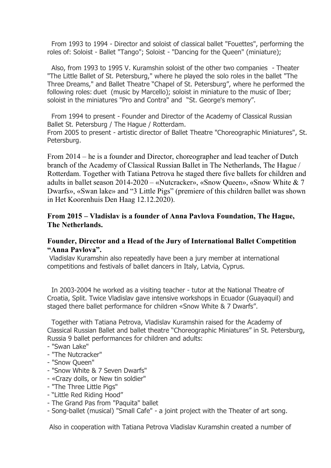From 1993 to 1994 - Director and soloist of classical ballet "Fouettes", performing the roles of: Soloist - Ballet "Tango"; Soloist - "Dancing for the Queen" (miniature);

Also, from 1993 to 1995 V. Kuramshin soloist of the other two companies - Theater "The Little Ballet of St. Petersburg," where he played the solo roles in the ballet "The Three Dreams," and Ballet Theatre "Chapel of St. Petersburg", where he performed the following roles: duet (music by Marcello); soloist in miniature to the music of Iber; soloist in the miniatures "Pro and Contra" and "St. George's memory".

From 1994 to present - Founder and Director of the Academy of Classical Russian Ballet St. Petersburg / The Hague / Rotterdam. From 2005 to present - artistic director of Ballet Theatre "Choreographic Miniatures", St. Petersburg.

From 2014 – he is a founder and Director, choreographer and lead teacher of Dutch branch of the Academy of Classical Russian Ballet in The Netherlands, The Hague / Rotterdam. Together with Tatiana Petrova he staged there five ballets for children and adults in ballet season 2014-2020 – «Nutcracker», «Snow Queen», «Snow White & 7 Dwarfs», «Swan lake» and "3 Little Pigs" (premiere of this children ballet was shown in Het Koorenhuis Den Haag 12.12.2020).

## **From 2015 – Vladislav is a founder of Anna Pavlova Foundation, The Hague, The Netherlands.**

## **Founder, Director and a Head of the Jury of International Ballet Competition "Anna Pavlova".**

Vladislav Kuramshin also repeatedly have been a jury member at international competitions and festivals of ballet dancers in Italy, Latvia, Cyprus.

In 2003-2004 he worked as a visiting teacher - tutor at the National Theatre of Croatia, Split. Twice Vladislav gave intensive workshops in Ecuador (Guayaquil) and staged there ballet performance for children «Snow White & 7 Dwarfs".

Together with Tatiana Petrova, Vladislav Kuramshin raised for the Academy of Classical Russian Ballet and ballet theatre "Choreographic Miniatures" in St. Petersburg, Russia 9 ballet performances for children and adults:

- "Swan Lake"
- "The Nutcracker"
- "Snow Queen"
- "Snow White & 7 Seven Dwarfs"
- «Crazy dolls, or New tin soldier"
- "The Three Little Pigs"
- "Little Red Riding Hood"
- The Grand Pas from "Paquita" ballet
- Song-ballet (musical) "Small Cafe" a joint project with the Theater of art song.

Also in cooperation with Tatiana Petrova Vladislav Kuramshin created a number of